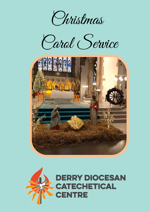

Carol Service



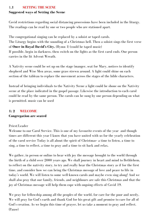## 1**.1 SETTING THE SCENE**

## **Suggested ways of Setting the Scene**

Covid restrictions regarding social distancing processions have been included in the liturgy. The readings can be read by one or two people who are stationed apart.

The congregational singing can be replaced by a soloist or taped carols. The Liturgy begins with the sounding of a Christmas bell. Then a soloist sings the first verse of **Once in Royal David's City.** (Hymn 1) (could be taped music) If possible, begin in darkness, then switch on the lights as the first carol ends. One person carries in the lit Advent Wreath.

A Nativity scene could be set up on the stage (manger, seat for Mary, notices to identify shepherd and Wise Men areas, some grass strewn around. A light could shine on each section of the tableau to replace the movement across the stages of the bible characters.

Instead of bringing individuals to the Nativity Scene a light could be shone on the Nativity scene at the place indicated in the gospel passage. Likewise the introduction to each carol could be read by the same person. The carols can be sung by one person depending on what is permitted. music can be used

## **1: 2 WELCOME**

### **Congregation are seated**

## Priest/Leader

Welcome to our Carol Service. This is one of my favourite events of the year and though times are different this year I know that you have united with us for the yearly celebration of the carol service Today is all about the spirit of Christmas– a time to listen, a time to sing, a time to reflect, a time to pray and a time to sit back and relax.

We gather, in person or online to hear with joy the message brought to the world through the birth of a child over 2000 years ago. We shall journey in heart and mind to Bethlehem, to reflect on the nativity story, to try and really hear the Christmas story as if for the first time, and consider how we can bring the Christmas message of love and peace to life in today's world. We will listen to some well-known carols and maybe even sing along! And we shall also pray that our family, friends, and neighbours are safe this Christmas and that the joy of Christmas message will help them cope with ongoing effects of Covid 19.

We pray for fellowship among all the peoples of the world, for care for the poor and needy, We will pray for God's earth and thank God for his great gift and promise to care for all of God's creation. As we begin this time of prayer, let us take a moment to pray and reflect. (Pause)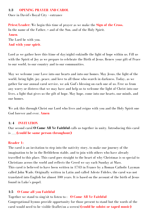### **1:3 OPENING PRAYER AND CAROL**

Once in David's Royal City - entrance

**Priest/Leader:** We begin this time of prayer as we make the **Sign of the Cross.** In the name of the Father, + and of the Son, and of the Holy Spirit. **Amen**. The Lord be with you. **And with your spirit**.

Lord as we gather here this (time of day/night) enkindle the light of hope within us. Fill us with the Spirit of Joy as we prepare to celebrate the Birth of Jesus. Renew your gift of Peace to our world, to our country and to our communities.

May we welcome your Love into our hearts and into our homes. May Jesus, the light of the world, bring light, joy, peace, and love to all those who search in darkness. Today, as we gather for our annual carol service, we ask God's blessing on each one of us. Free us from any worry or distress that we may have and help us to welcome the light of Christ into our lives, a light that gives us the gift of hope. May hope, come into our hearts, our minds, and our homes.

We ask this through Christ our Lord who lives and reigns with you and the Holy Spirit one God forever and ever. **Amen**

### **1: 4 INVITATION**

Our second carol **O Come All Ye Faithful** calls us together in unity. Introducing this carol is \_\_\_\_\_**(could be same person throughout)**

#### **Reader 1:**

The carol is an invitation to step into the nativity story, to make our journey of the imagination to be in the Bethlehem stable, and to join with others who have already travelled to this place. This carol goes straight to the heart of why Christmas is so special to Christians across the world and reflects the Creed we say each Sunday at Mass. This carol is believed to have been written in 1743 in France by a Roman Catholic Layman called John Wade. Originally written in Latin and called Adeste Fideles, the carol was not translated into English for almost 100 years. It is based on the account of the birth of Jesus found in Luke's gospel.

#### **1:5 O Come all you Faithful**

Together we stand to sing/sit to listen to : **O Come All Ye Faithful** Congregational hymns provide opportunity for those present to stand but the words of the carol would need to be visible (leaflet/on a screen) **(could be soloist or taped music)**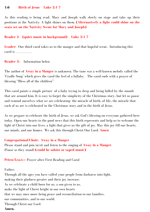#### **1:6 Birth of Jesus Luke 2:1-7**

As this reading is being read, Mary and Joseph walk slowly on stage and take up their positions at the Nativity. A light shines on them. **(Alternatively a light could shine on the seats set on the Nativity Scene for Mary and Joseph)**

#### **Reader 2**: **(quiet music in background) Luke 2:1-7**

**Leader:** Our third carol takes us to the manger and that hopeful scene. Introducing this carol is  $\equiv$ 

**Reader 3:** Information below

The author of **Away in a Manger** is unknown. The tune was a well-known melody called the 'Cradle Song' which gives the carol the feel of a lullaby. The carol ends with a prayer of blessing "Bless all of the children"

This carol paints a simple picture of a baby trying to sleep and being lulled by the sounds that are around him. It is easy to forget the simplicity of the Christmas story, but let us pause and remind ourselves what we are celebrating- the miracle of birth, of life, the miracle that each of us are is celebrated in the Christmas story and in the birth of Jesus.

As we prepare to celebrate the birth of Jesus, we ask God's blessing on everyone gathered here today. Open our hearts to the good news that this birth represents and help us to welcome the light of Christ into our lives, a light that gives us the gift of joy. May this joy fill our hearts, our minds, and our homes. We ask this through Christ Our Lord. **Amen**

#### **Congregational/Choir: Away in a Manger**

Please stand and join in/sit and listen to the singing of **Away in a Manger**. (Pause as they stand) **(could be soloist or taped music)**

**Priest/Lea**der: Prayer after First Reading and Carol

#### Father,

Through all the ages you have called your people from darkness into light, making their gladness greater and their joy increase. As we celebrate a child born for us, a son given to us, make the light of Christ bright in our own hearts that we may once more bring peace and reconciliation to our families, our communities, and to our world. Through Christ our Lord. **Amen.**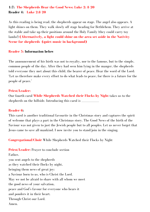## **1:7: The Shepherds Hear the Good News: Luke 2: 8-20 Reader 4: Luke 2:8-20**

As this reading is being read, the shepherds appear on stage. The angel also appears. A light shines on them. They walk slowly off stage heading for Bethlehem. They arrive at the stable and take up their positions around the Holy Family (they could carry toy lambs!) **(Alternatively, a light could shine on the area set aside in the Nativity Scene for shepherds (quiet music in background)**

### **Reader 5: Information below**

The announcement of his birth was not to royalty, nor to the famous, but to the simple, common people of the day. After they had seen him lying in the manger, the shepherds told everyone they met about this child, the bearer of peace. Hear the word of the Lord: 'Let us therefore make every effort to do what leads to peace, for there is a future for the people of peace.'

#### **Priest/Leader:**

Our fourth carol **While Shepherds Watched their Flocks by Night** takes us to the shepherds on the hillside. Introducing this carol is  $\equiv$ 

#### **Reader 6:**

This carol is another traditional favourite in the Christmas story and captures the spirit of welcome that plays a part in the Christmas story. The Good News of the birth of the Saviour was not given to just the Jewish people but to all peoples. Let us never forget that Jesus came to save all mankind. I now invite you to stand/join in the singing.

**Congregational/Choir** While Shepherds Watched their Flocks by Night

**Priest/Leader:** Prayer to conclude section Father, you sent angels to the shepherds as they watched their flocks by night, bringing them news of great joy: a Saviour born to us, who is Christ the Lord. May we not be afraid to share with all whom we meet the good news of your salvation, peace and God's favour for everyone who hears it and ponders it in their heart. Through Christ our Lord. Amen.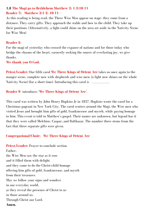# **1.8 The Magi go to Bethlehem Matthew 2: 1-2:10-11 Reader 7: Matthew 2:1-2: 10-11**

As this reading is being read, the Three Wise Men appear on stage- they come from a distance. They carry gifts. They approach the stable and bow to the child. They take up their positions. (Alternatively, a light could shine on the area set aside in the Nativity Scene for Wise Men)

## **Reader 8**:

For the magi of yesterday who crossed the expanse of nations and for those today who bridge the chasms of the heart, earnestly seeking the source of everlasting joy, we give thanks.

**We thank you O God.**

**Priest/Leader**: Our fifth carol **We Three Kings of Orient Are** takes us once again to the manger scene, complete now with shepherds and wise men. (a light now shines on the whole Nativity Scene) (for a short time). Introducing this carol is

## **Reader 9** introduces '**We Three Kings of Orient Are**'.

This carol was written by John Henry Hopkins Jr in 1857. Hopkins wrote the carol for a Christmas pageant in New York City. The carol centres around the Magi, the Wise men who visited Jesus and brought him gifts of gold, frankincense and myrrh, while paying homage to him. This event is told in Matthew's gospel. Their names are unknown, but legend has it that they were called Melchior, Caspar, and Balthazar. The number three stems from the fact that three separate gifts were given.

## **Congregational/Choir: We Three Kings of Orient Are**

**Priest/Leader:** Prayer to conclude section Father, the Wise Men saw the star as it rose and it filled them with delight. and they came to do the Christ-child homage offering him gifts of gold, frankincense, and myrrh from their treasures. May we follow your signs and wonders in our everyday world, as they reveal the presence of Christ to us in those around us. Through Christ our Lord. **Amen.**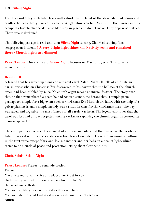### **1:9 Silent Night**

For this carol Mary with baby Jesus walks slowly to the front of the stage. Mary sits down and cradles the baby. Mary looks at her baby. A light shines on her. Meanwhile the manger and its occupants Joseph, shepherds, Wise Men stay in place and do not move. They appear as statues. Their area is darkened.

The following passage is read and then **Silent Night** is sung. Choir/soloist sing. The congregation is silent. **( A very bright light shines the Nativity scene and remained there) Church lights are dimmed**

**Priest/Leader**: Our sixth carol **Silent Night** focusses on Mary and Jesus. This carol is introduced by \_\_\_\_\_\_\_\_\_

### **Reader 10**

A legend that has grown up alongside our next carol 'Silent Night'. It tells of an Austrian parish priest who on Christmas Eve discovered to his horror that the bellows of the church organ had been nibbled by mice. No church organ meant no music, disaster. The story goes that he then remembered a poem he had written some time before that, a simple poem perhaps too simple for a big event such as Christmas Eve Mass. Hours later, with the help of a guitar-playing friend a simple melody was written in time for the Christmas mass. The day was saved and arguably the most famous of all carols was born. The legend continues that the carol was lost and all but forgotten until a workman repairing the church organ discovered its manuscript in 1825.

The carol paints a picture of a moment of stillness and silence at the manger of the newborn baby. It is as if nothing else exists, even Joseph isn't included. There are no animals, nothing in the first verse except Mary and Jesus, a mother and her baby in a pool of light, which seems to be a circle of peace and protection letting them sleep within it.

### **Choir/Soloist Silent Night**

**Priest/Leader:** Prayer to conclude section Father Mary listened to your voice and placed her trust in you. In humility and faithfulness, she gave birth to her Son, the Word-made-flesh. May we like Mary respond to God's call in our lives, May we listen to what God is asking of us during this holy season **Amen**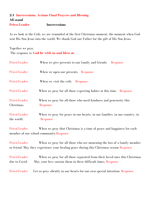# **2:1 Intercessions, Actions Final Prayers and Blessing All stand Priest/Leader Intercessions**

As we look at the Crib, we are reminded of the first Christmas moment, the moment when God sent His Son Jesus into the world. We thank God our Father for the gift of His Son Jesus.

# Together we pray. The response is: **God be with us and bless us**

| Priest/Leader               | When we give presents to our family and friends. Response                                                                                                          |
|-----------------------------|--------------------------------------------------------------------------------------------------------------------------------------------------------------------|
| Priest/Leader               | When we open our presents. Response                                                                                                                                |
| Priest/Leader               | When we visit the crib. Response                                                                                                                                   |
| Priest/Leader               | When we pray for all those expecting babies at this time. Response                                                                                                 |
| Priest/Leader<br>Christmas. | When we pray for all those who need kindness and generosity this<br>Response                                                                                       |
| Priest/Leader<br>the world. | When we pray for peace in our hearts, in our families, in our country, in<br>Response                                                                              |
| Priest/Leader               | When we pray that Christmas is a time of peace and happiness for each<br>member of our school community.Response                                                   |
| Priest/Leader               | When we pray for all those who are mourning the loss of a family member<br>or friend. May they experience your healing grace during this Christmas season Response |

Priest/Leader When we pray for all those separated from their loved ones this Christmas due to Covid. May your love sustain them in these difficult times. Response

Priest/Leader Let us pray silently in our hearts for our own special intention. Response